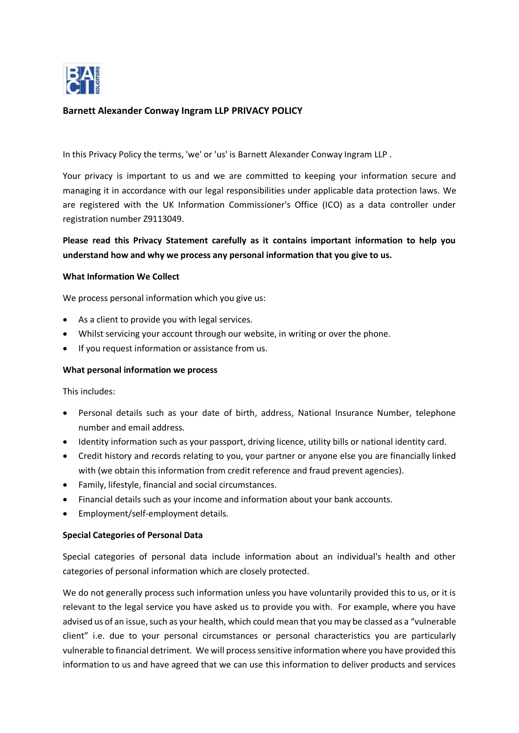

# **Barnett Alexander Conway Ingram LLP PRIVACY POLICY**

In this Privacy Policy the terms, 'we' or 'us' is Barnett Alexander Conway Ingram LLP .

Your privacy is important to us and we are committed to keeping your information secure and managing it in accordance with our legal responsibilities under applicable data protection laws. We are registered with the UK Information Commissioner's Office (ICO) as a data controller under registration number Z9113049.

# **Please read this Privacy Statement carefully as it contains important information to help you understand how and why we process any personal information that you give to us.**

#### **What Information We Collect**

We process personal information which you give us:

- As a client to provide you with legal services.
- Whilst servicing your account through our website, in writing or over the phone.
- If you request information or assistance from us.

#### **What personal information we process**

This includes:

- Personal details such as your date of birth, address, National Insurance Number, telephone number and email address.
- Identity information such as your passport, driving licence, utility bills or national identity card.
- Credit history and records relating to you, your partner or anyone else you are financially linked with (we obtain this information from credit reference and fraud prevent agencies).
- Family, lifestyle, financial and social circumstances.
- Financial details such as your income and information about your bank accounts.
- Employment/self-employment details.

### **Special Categories of Personal Data**

Special categories of personal data include information about an individual's health and other categories of personal information which are closely protected.

We do not generally process such information unless you have voluntarily provided this to us, or it is relevant to the legal service you have asked us to provide you with. For example, where you have advised us of an issue, such as your health, which could mean that you may be classed as a "vulnerable client" i.e. due to your personal circumstances or personal characteristics you are particularly vulnerable to financial detriment. We will process sensitive information where you have provided this information to us and have agreed that we can use this information to deliver products and services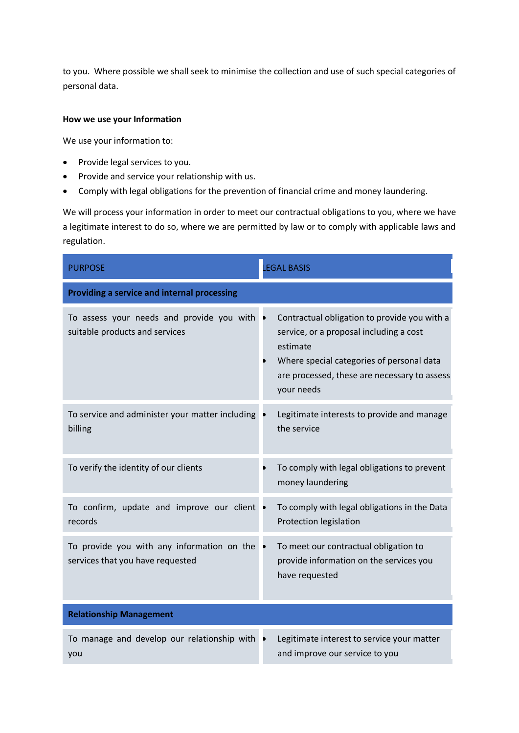to you. Where possible we shall seek to minimise the collection and use of such special categories of personal data.

# **How we use your Information**

We use your information to:

- Provide legal services to you.
- Provide and service your relationship with us.
- Comply with legal obligations for the prevention of financial crime and money laundering.

We will process your information in order to meet our contractual obligations to you, where we have a legitimate interest to do so, where we are permitted by law or to comply with applicable laws and regulation.

| <b>PURPOSE</b>                                                                 | <b>EGAL BASIS</b>                                                                                                                                                                                                   |  |  |  |
|--------------------------------------------------------------------------------|---------------------------------------------------------------------------------------------------------------------------------------------------------------------------------------------------------------------|--|--|--|
| <b>Providing a service and internal processing</b>                             |                                                                                                                                                                                                                     |  |  |  |
| To assess your needs and provide you with<br>suitable products and services    | Contractual obligation to provide you with a<br>service, or a proposal including a cost<br>estimate<br>Where special categories of personal data<br>D<br>are processed, these are necessary to assess<br>your needs |  |  |  |
| To service and administer your matter including<br>billing                     | Legitimate interests to provide and manage<br>the service                                                                                                                                                           |  |  |  |
| To verify the identity of our clients                                          | To comply with legal obligations to prevent<br>money laundering                                                                                                                                                     |  |  |  |
| To confirm, update and improve our client .<br>records                         | To comply with legal obligations in the Data<br>Protection legislation                                                                                                                                              |  |  |  |
| To provide you with any information on the<br>services that you have requested | To meet our contractual obligation to<br>provide information on the services you<br>have requested                                                                                                                  |  |  |  |
| <b>Relationship Management</b>                                                 |                                                                                                                                                                                                                     |  |  |  |
| To manage and develop our relationship with<br>you                             | Legitimate interest to service your matter<br>and improve our service to you                                                                                                                                        |  |  |  |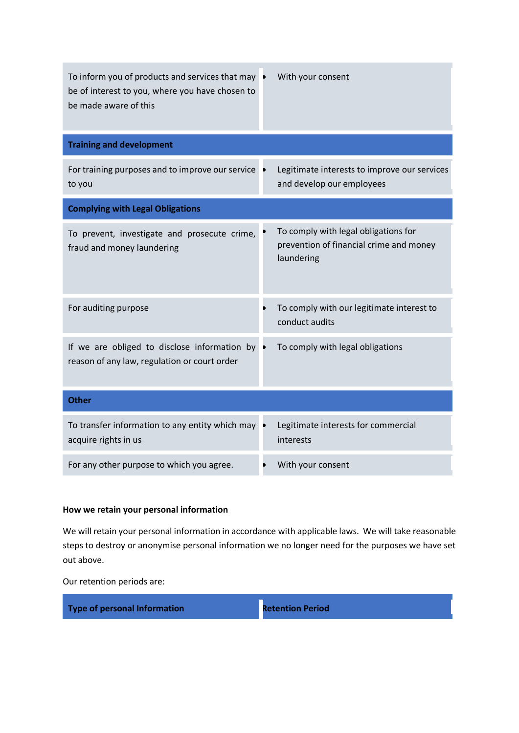| To inform you of products and services that may •<br>be of interest to you, where you have chosen to<br>be made aware of this | With your consent                                                                             |  |
|-------------------------------------------------------------------------------------------------------------------------------|-----------------------------------------------------------------------------------------------|--|
| <b>Training and development</b>                                                                                               |                                                                                               |  |
| For training purposes and to improve our service<br>to you                                                                    | Legitimate interests to improve our services<br>and develop our employees                     |  |
| <b>Complying with Legal Obligations</b>                                                                                       |                                                                                               |  |
| To prevent, investigate and prosecute crime,<br>fraud and money laundering                                                    | To comply with legal obligations for<br>prevention of financial crime and money<br>laundering |  |
| For auditing purpose                                                                                                          | To comply with our legitimate interest to<br>conduct audits                                   |  |
| If we are obliged to disclose information by<br>reason of any law, regulation or court order                                  | To comply with legal obligations                                                              |  |
| <b>Other</b>                                                                                                                  |                                                                                               |  |
| To transfer information to any entity which may<br>acquire rights in us                                                       | Legitimate interests for commercial<br>interests                                              |  |
| For any other purpose to which you agree.                                                                                     | With your consent                                                                             |  |

# **How we retain your personal information**

We will retain your personal information in accordance with applicable laws. We will take reasonable steps to destroy or anonymise personal information we no longer need for the purposes we have set out above.

Our retention periods are:

**Type of personal Information Retention Period**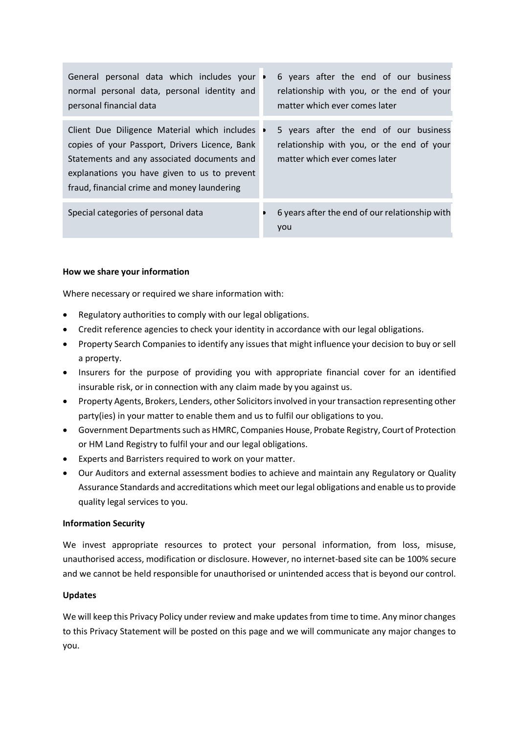| General personal data which includes your<br>normal personal data, personal identity and<br>personal financial data                                                                                                                          | D         | 6 years after the end of our business<br>relationship with you, or the end of your<br>matter which ever comes later |
|----------------------------------------------------------------------------------------------------------------------------------------------------------------------------------------------------------------------------------------------|-----------|---------------------------------------------------------------------------------------------------------------------|
| Client Due Diligence Material which includes<br>copies of your Passport, Drivers Licence, Bank<br>Statements and any associated documents and<br>explanations you have given to us to prevent<br>fraud, financial crime and money laundering | $\bullet$ | 5 years after the end of our business<br>relationship with you, or the end of your<br>matter which ever comes later |
| Special categories of personal data                                                                                                                                                                                                          |           | 6 years after the end of our relationship with<br>you                                                               |

# **How we share your information**

Where necessary or required we share information with:

- Regulatory authorities to comply with our legal obligations.
- Credit reference agencies to check your identity in accordance with our legal obligations.
- Property Search Companies to identify any issues that might influence your decision to buy or sell a property.
- Insurers for the purpose of providing you with appropriate financial cover for an identified insurable risk, or in connection with any claim made by you against us.
- Property Agents, Brokers, Lenders, other Solicitors involved in your transaction representing other party(ies) in your matter to enable them and us to fulfil our obligations to you.
- Government Departments such as HMRC, Companies House, Probate Registry, Court of Protection or HM Land Registry to fulfil your and our legal obligations.
- Experts and Barristers required to work on your matter.
- Our Auditors and external assessment bodies to achieve and maintain any Regulatory or Quality Assurance Standards and accreditations which meet our legal obligations and enable us to provide quality legal services to you.

### **Information Security**

We invest appropriate resources to protect your personal information, from loss, misuse, unauthorised access, modification or disclosure. However, no internet-based site can be 100% secure and we cannot be held responsible for unauthorised or unintended access that is beyond our control.

### **Updates**

We will keep this Privacy Policy under review and make updates from time to time. Any minor changes to this Privacy Statement will be posted on this page and we will communicate any major changes to you.